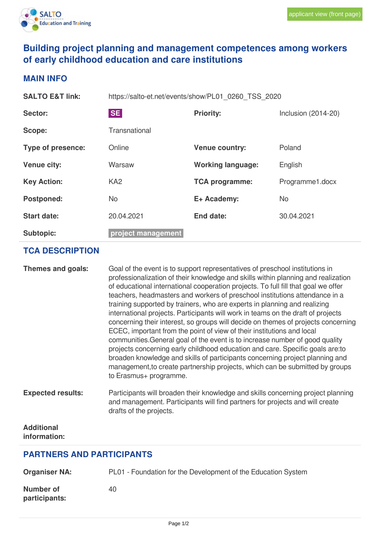

## **Building project planning and management competences among workers of early childhood education and care institutions**

## **MAIN INFO**

| <b>SALTO E&amp;T link:</b> | https://salto-et.net/events/show/PL01 0260 TSS 2020 |                          |                       |
|----------------------------|-----------------------------------------------------|--------------------------|-----------------------|
| <b>Sector:</b>             | <b>SE</b>                                           | <b>Priority:</b>         | Inclusion $(2014-20)$ |
| Scope:                     | Transnational                                       |                          |                       |
| Type of presence:          | Online                                              | <b>Venue country:</b>    | Poland                |
| <b>Venue city:</b>         | Warsaw                                              | <b>Working language:</b> | English               |
| <b>Key Action:</b>         | KA <sub>2</sub>                                     | <b>TCA programme:</b>    | Programme1.docx       |
| <b>Postponed:</b>          | <b>No</b>                                           | E+ Academy:              | <b>No</b>             |
| <b>Start date:</b>         | 20.04.2021                                          | End date:                | 30.04.2021            |
| <b>Subtopic:</b>           | project management                                  |                          |                       |

## **TCA DESCRIPTION**

| Themes and goals:                 | Goal of the event is to support representatives of preschool institutions in<br>professionalization of their knowledge and skills within planning and realization<br>of educational international cooperation projects. To full fill that goal we offer<br>teachers, headmasters and workers of preschool institutions attendance in a<br>training supported by trainers, who are experts in planning and realizing<br>international projects. Participants will work in teams on the draft of projects<br>concerning their interest, so groups will decide on themes of projects concerning<br>ECEC, important from the point of view of their institutions and local<br>communities. General goal of the event is to increase number of good quality<br>projects concerning early childhood education and care. Specific goals are: to<br>broaden knowledge and skills of participants concerning project planning and<br>management, to create partnership projects, which can be submitted by groups<br>to Erasmus+ programme. |
|-----------------------------------|------------------------------------------------------------------------------------------------------------------------------------------------------------------------------------------------------------------------------------------------------------------------------------------------------------------------------------------------------------------------------------------------------------------------------------------------------------------------------------------------------------------------------------------------------------------------------------------------------------------------------------------------------------------------------------------------------------------------------------------------------------------------------------------------------------------------------------------------------------------------------------------------------------------------------------------------------------------------------------------------------------------------------------|
| <b>Expected results:</b>          | Participants will broaden their knowledge and skills concerning project planning<br>and management. Participants will find partners for projects and will create<br>drafts of the projects.                                                                                                                                                                                                                                                                                                                                                                                                                                                                                                                                                                                                                                                                                                                                                                                                                                        |
| <b>Additional</b><br>information: |                                                                                                                                                                                                                                                                                                                                                                                                                                                                                                                                                                                                                                                                                                                                                                                                                                                                                                                                                                                                                                    |

## **PARTNERS AND PARTICIPANTS**

| <b>Organiser NA:</b>              | PL01 - Foundation for the Development of the Education System |  |  |
|-----------------------------------|---------------------------------------------------------------|--|--|
| <b>Number of</b><br>participants: | 40                                                            |  |  |